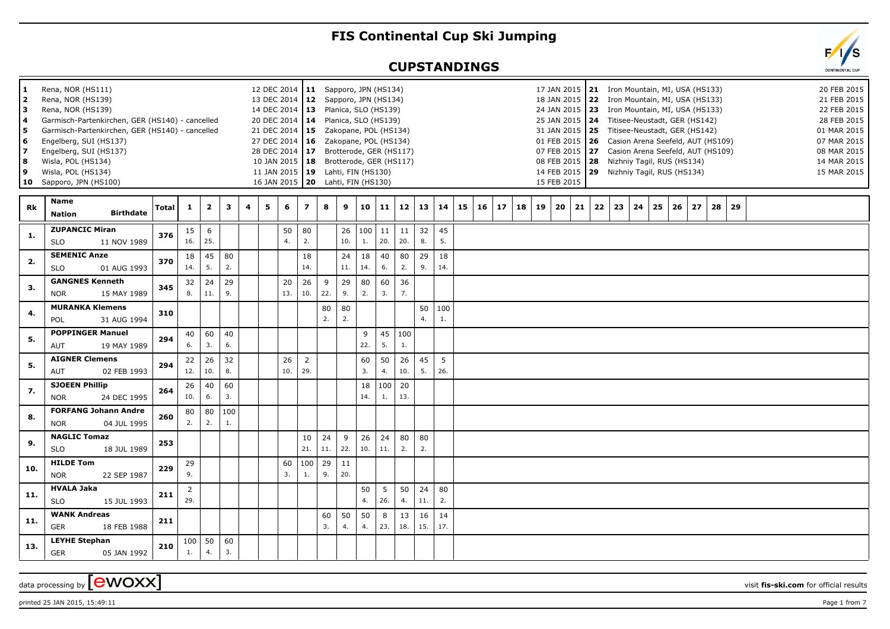## **FIS Continental Cup Ski Jumping**

## **CUPSTANDINGS**



| 1<br>2<br> 3<br>4<br>l 5<br>6<br>17<br>8<br>9<br>10 | Rena, NOR (HS111)<br>Rena, NOR (HS139)<br>Rena, NOR (HS139)<br>Garmisch-Partenkirchen, GER (HS140) - cancelled<br>Garmisch-Partenkirchen, GER (HS140) - cancelled<br>Engelberg, SUI (HS137)<br>Engelberg, SUI (HS137)<br>Wisla, POL (HS134)<br>Wisla, POL (HS134)<br>Sapporo, JPN (HS100) |              |                       |                |              |                |   | 12 DEC 2014   11 Sapporo, JPN (HS134)<br>13 DEC 2014   12 Sapporo, JPN (HS134)<br>14 DEC 2014   13 Planica, SLO (HS139)<br>20 DEC 2014   14 Planica, SLO (HS139)<br>21 DEC 2014   15 Zakopane, POL (HS134)<br>27 DEC 2014   16  Zakopane, POL (HS134)<br>28 DEC 2014   17 Brotterode, GER (HS117)<br>10 JAN 2015   18 Brotterode, GER (HS117)<br>11 JAN 2015   19 Lahti, FIN (HS130)<br>16 JAN 2015   20 Lahti, FIN (HS130) |                         |           |           |           |           |           |           |           |    |    |    |    |    | 15 FEB 2015 | 08 FEB 2015   28 |    |    | 17 JAN 2015   21 Iron Mountain, MI, USA (HS133)<br>18 JAN 2015 22 Iron Mountain, MI, USA (HS133)<br>24 JAN 2015   23 Iron Mountain, MI, USA (HS133)<br>25 JAN 2015   24 Titisee-Neustadt, GER (HS142)<br>31 JAN 2015   25 Titisee-Neustadt, GER (HS142)<br>01 FEB 2015   26 Casion Arena Seefeld, AUT (HS109)<br>07 FEB 2015   27 Casion Arena Seefeld, AUT (HS109)<br>Nizhniy Tagil, RUS (HS134)<br>14 FEB 2015   29 Nizhniy Tagil, RUS (HS134) |    |    |    |    |    |  |  | 20 FEB 2015<br>21 FEB 2015<br>22 FEB 2015<br>28 FEB 2015<br>01 MAR 2015<br>07 MAR 2015<br>08 MAR 2015<br>14 MAR 2015<br>15 MAR 2015 |
|-----------------------------------------------------|-------------------------------------------------------------------------------------------------------------------------------------------------------------------------------------------------------------------------------------------------------------------------------------------|--------------|-----------------------|----------------|--------------|----------------|---|-----------------------------------------------------------------------------------------------------------------------------------------------------------------------------------------------------------------------------------------------------------------------------------------------------------------------------------------------------------------------------------------------------------------------------|-------------------------|-----------|-----------|-----------|-----------|-----------|-----------|-----------|----|----|----|----|----|-------------|------------------|----|----|--------------------------------------------------------------------------------------------------------------------------------------------------------------------------------------------------------------------------------------------------------------------------------------------------------------------------------------------------------------------------------------------------------------------------------------------------|----|----|----|----|----|--|--|-------------------------------------------------------------------------------------------------------------------------------------|
| Rk                                                  | <b>Name</b><br><b>Birthdate</b><br><b>Nation</b>                                                                                                                                                                                                                                          | <b>Total</b> | $\mathbf{1}$          | $\overline{2}$ | $\mathbf{3}$ | $\overline{a}$ | 5 | 6                                                                                                                                                                                                                                                                                                                                                                                                                           | $\overline{\mathbf{z}}$ | 8         | 9         | 10        | 11        | 12        | 13        | 14        | 15 | 16 | 17 | 18 | 19 | 20          | 21               | 22 | 23 | 24                                                                                                                                                                                                                                                                                                                                                                                                                                               | 25 | 26 | 27 | 28 | 29 |  |  |                                                                                                                                     |
| 1.                                                  | <b>ZUPANCIC Miran</b><br><b>SLO</b><br>11 NOV 1989                                                                                                                                                                                                                                        | 376          | 15<br>16.             | 6<br>25.       |              |                |   | 50<br>4.                                                                                                                                                                                                                                                                                                                                                                                                                    | 80<br>2.                |           | 26<br>10. | 100<br>1. | 11<br>20. | 11<br>20. | 32<br>8.  | 45<br>5.  |    |    |    |    |    |             |                  |    |    |                                                                                                                                                                                                                                                                                                                                                                                                                                                  |    |    |    |    |    |  |  |                                                                                                                                     |
| 2.                                                  | <b>SEMENIC Anze</b><br><b>SLO</b><br>01 AUG 1993                                                                                                                                                                                                                                          | 370          | 18<br>14.             | 45<br>5.       | 80<br>2.     |                |   |                                                                                                                                                                                                                                                                                                                                                                                                                             | 18<br>14.               |           | 24<br>11. | 18<br>14. | 40<br>6.  | 80<br>2.  | 29<br>9.  | 18<br>14. |    |    |    |    |    |             |                  |    |    |                                                                                                                                                                                                                                                                                                                                                                                                                                                  |    |    |    |    |    |  |  |                                                                                                                                     |
| 3.                                                  | <b>GANGNES Kenneth</b><br>15 MAY 1989<br><b>NOR</b>                                                                                                                                                                                                                                       | 345          | 32<br>8.              | 24<br>11.      | 29<br>9.     |                |   | 20<br>13.                                                                                                                                                                                                                                                                                                                                                                                                                   | 26<br>10.               | 9<br>22.  | 29<br>9.  | 80<br>2.  | 60<br>3.  | 36<br>7.  |           |           |    |    |    |    |    |             |                  |    |    |                                                                                                                                                                                                                                                                                                                                                                                                                                                  |    |    |    |    |    |  |  |                                                                                                                                     |
| 4.                                                  | <b>MURANKA Klemens</b><br>31 AUG 1994<br>POL                                                                                                                                                                                                                                              | 310          |                       |                |              |                |   |                                                                                                                                                                                                                                                                                                                                                                                                                             |                         | 80<br>2.  | 80<br>2.  |           |           |           | 50<br>4.  | 100<br>1. |    |    |    |    |    |             |                  |    |    |                                                                                                                                                                                                                                                                                                                                                                                                                                                  |    |    |    |    |    |  |  |                                                                                                                                     |
| 5.                                                  | <b>POPPINGER Manuel</b><br>19 MAY 1989<br><b>AUT</b>                                                                                                                                                                                                                                      | 294          | 40<br>6.              | 60<br>3.       | 40<br>6.     |                |   |                                                                                                                                                                                                                                                                                                                                                                                                                             |                         |           |           | 9<br>22.  | 45<br>5.  | 100<br>1. |           |           |    |    |    |    |    |             |                  |    |    |                                                                                                                                                                                                                                                                                                                                                                                                                                                  |    |    |    |    |    |  |  |                                                                                                                                     |
| 5.                                                  | <b>AIGNER Clemens</b><br>AUT<br>02 FEB 1993                                                                                                                                                                                                                                               | 294          | 22<br>12.             | 26<br>10.      | 32<br>8.     |                |   | 26<br>10.                                                                                                                                                                                                                                                                                                                                                                                                                   | $\overline{2}$<br>29.   |           |           | 60<br>3.  | 50<br>4.  | 26<br>10. | 45<br>5.  | 5<br>26.  |    |    |    |    |    |             |                  |    |    |                                                                                                                                                                                                                                                                                                                                                                                                                                                  |    |    |    |    |    |  |  |                                                                                                                                     |
| 7.                                                  | <b>SJOEEN Phillip</b><br>24 DEC 1995<br><b>NOR</b>                                                                                                                                                                                                                                        | 264          | 26<br>10.             | 40<br>6.       | 60<br>3.     |                |   |                                                                                                                                                                                                                                                                                                                                                                                                                             |                         |           |           | 18<br>14. | 100<br>1. | 20<br>13. |           |           |    |    |    |    |    |             |                  |    |    |                                                                                                                                                                                                                                                                                                                                                                                                                                                  |    |    |    |    |    |  |  |                                                                                                                                     |
| 8.                                                  | <b>FORFANG Johann Andre</b><br>04 JUL 1995<br><b>NOR</b>                                                                                                                                                                                                                                  | 260          | 80<br>2.              | 80<br>2.       | 100<br>1.    |                |   |                                                                                                                                                                                                                                                                                                                                                                                                                             |                         |           |           |           |           |           |           |           |    |    |    |    |    |             |                  |    |    |                                                                                                                                                                                                                                                                                                                                                                                                                                                  |    |    |    |    |    |  |  |                                                                                                                                     |
| 9.                                                  | <b>NAGLIC Tomaz</b><br><b>SLO</b><br>18 JUL 1989                                                                                                                                                                                                                                          | 253          |                       |                |              |                |   |                                                                                                                                                                                                                                                                                                                                                                                                                             | 10<br>21.               | 24<br>11. | 9<br>22.  | 26<br>10. | 24<br>11. | 80<br>2.  | 80<br>2.  |           |    |    |    |    |    |             |                  |    |    |                                                                                                                                                                                                                                                                                                                                                                                                                                                  |    |    |    |    |    |  |  |                                                                                                                                     |
| 10.                                                 | <b>HILDE Tom</b><br><b>NOR</b><br>22 SEP 1987                                                                                                                                                                                                                                             | 229          | 29<br>9.              |                |              |                |   | 60<br>3.                                                                                                                                                                                                                                                                                                                                                                                                                    | 100<br>1.               | 29<br>9.  | 11<br>20. |           |           |           |           |           |    |    |    |    |    |             |                  |    |    |                                                                                                                                                                                                                                                                                                                                                                                                                                                  |    |    |    |    |    |  |  |                                                                                                                                     |
| 11.                                                 | <b>HVALA Jaka</b><br><b>SLO</b><br>15 JUL 1993                                                                                                                                                                                                                                            | 211          | $\overline{2}$<br>29. |                |              |                |   |                                                                                                                                                                                                                                                                                                                                                                                                                             |                         |           |           | 50<br>4.  | 5<br>26.  | 50<br>4.  | 24<br>11. | 80<br>2.  |    |    |    |    |    |             |                  |    |    |                                                                                                                                                                                                                                                                                                                                                                                                                                                  |    |    |    |    |    |  |  |                                                                                                                                     |
| 11.                                                 | <b>WANK Andreas</b><br><b>GER</b><br>18 FEB 1988                                                                                                                                                                                                                                          | 211          |                       |                |              |                |   |                                                                                                                                                                                                                                                                                                                                                                                                                             |                         | 60<br>3.  | 50<br>4.  | 50<br>4.  | 8<br>23.  | 13<br>18. | 16<br>15. | 14<br>17. |    |    |    |    |    |             |                  |    |    |                                                                                                                                                                                                                                                                                                                                                                                                                                                  |    |    |    |    |    |  |  |                                                                                                                                     |
| 13.                                                 | <b>LEYHE Stephan</b><br><b>GER</b><br>05 JAN 1992                                                                                                                                                                                                                                         | 210          | 100<br>1.             | 50<br>4.       | 60<br>3.     |                |   |                                                                                                                                                                                                                                                                                                                                                                                                                             |                         |           |           |           |           |           |           |           |    |    |    |    |    |             |                  |    |    |                                                                                                                                                                                                                                                                                                                                                                                                                                                  |    |    |    |    |    |  |  |                                                                                                                                     |

data processing by **CWOXX** visit **fis-ski.com** for official results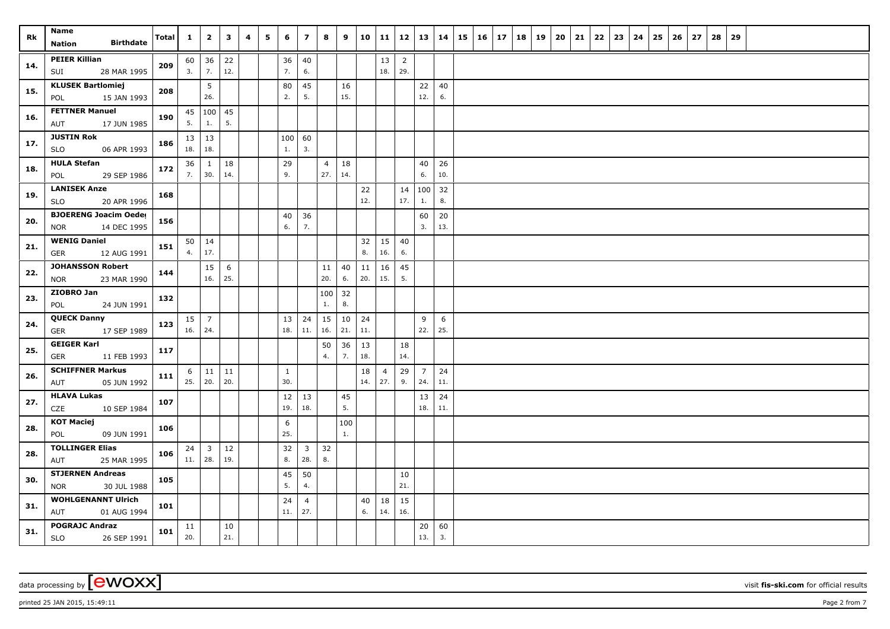| Rk  | Name<br><b>Birthdate</b>                             | <b>Total</b> | $\mathbf{1}$ | $\overline{2}$                 | $\mathbf{3}$ | 4 | 5 | 6            | $\overline{z}$                 | 8         | 9         |           | 10 11          |                       | $12 \mid 13$   | 14       | 15 | $16 \mid 17$ | 18 | 19 | 20 | 21 | 22 | 23 | 24 | 25 | 26 | 27 | 28 | 29 |  |  |  |
|-----|------------------------------------------------------|--------------|--------------|--------------------------------|--------------|---|---|--------------|--------------------------------|-----------|-----------|-----------|----------------|-----------------------|----------------|----------|----|--------------|----|----|----|----|----|----|----|----|----|----|----|----|--|--|--|
|     | Nation                                               |              |              |                                |              |   |   |              |                                |           |           |           |                |                       |                |          |    |              |    |    |    |    |    |    |    |    |    |    |    |    |  |  |  |
| 14. | <b>PEIER Killian</b><br>28 MAR 1995                  | 209          | 3.           | $60 \mid 36$<br>7.             | 22<br>12.    |   |   | 36<br>7.     | $40\,$<br>6.                   |           |           |           | 13<br>18.      | $\overline{2}$<br>29. |                |          |    |              |    |    |    |    |    |    |    |    |    |    |    |    |  |  |  |
|     | SUI                                                  |              |              |                                |              |   |   |              |                                |           |           |           |                |                       |                |          |    |              |    |    |    |    |    |    |    |    |    |    |    |    |  |  |  |
| 15. | <b>KLUSEK Bartlomiej</b><br>15 JAN 1993<br>POL       | 208          |              | 5<br>26.                       |              |   |   | 80<br>2.     | 45<br>5.                       |           | 16<br>15. |           |                |                       | 22<br>12.      | 40<br>6. |    |              |    |    |    |    |    |    |    |    |    |    |    |    |  |  |  |
|     | <b>FETTNER Manuel</b>                                |              |              | 45   100   45                  |              |   |   |              |                                |           |           |           |                |                       |                |          |    |              |    |    |    |    |    |    |    |    |    |    |    |    |  |  |  |
| 16. | AUT<br>17 JUN 1985                                   | 190          | 5.           | 1.                             | 5.           |   |   |              |                                |           |           |           |                |                       |                |          |    |              |    |    |    |    |    |    |    |    |    |    |    |    |  |  |  |
|     | <b>JUSTIN Rok</b>                                    |              | 13           | 13                             |              |   |   | 100          | 60                             |           |           |           |                |                       |                |          |    |              |    |    |    |    |    |    |    |    |    |    |    |    |  |  |  |
| 17. | SLO<br>06 APR 1993                                   | 186          | 18.          | 18.                            |              |   |   | 1.           | 3.                             |           |           |           |                |                       |                |          |    |              |    |    |    |    |    |    |    |    |    |    |    |    |  |  |  |
|     | <b>HULA Stefan</b>                                   |              | 36           | 1                              | 18           |   |   | 29           |                                | 4         | 18        |           |                |                       | 40             | 26       |    |              |    |    |    |    |    |    |    |    |    |    |    |    |  |  |  |
| 18. | 29 SEP 1986<br>POL                                   | 172          | 7.           | 30.                            | 14.          |   |   | 9.           |                                | 27.       | 14.       |           |                |                       | 6.             | 10.      |    |              |    |    |    |    |    |    |    |    |    |    |    |    |  |  |  |
| 19. | <b>LANISEK Anze</b>                                  | 168          |              |                                |              |   |   |              |                                |           |           | 22        |                | 14                    | 100            | 32       |    |              |    |    |    |    |    |    |    |    |    |    |    |    |  |  |  |
|     | 20 APR 1996<br>SLO                                   |              |              |                                |              |   |   |              |                                |           |           | 12.       |                | 17.                   | 1.             | 8.       |    |              |    |    |    |    |    |    |    |    |    |    |    |    |  |  |  |
| 20. | <b>BJOERENG Joacim Oedes</b>                         | 156          |              |                                |              |   |   | 40           | 36                             |           |           |           |                |                       | 60             | 20       |    |              |    |    |    |    |    |    |    |    |    |    |    |    |  |  |  |
|     | 14 DEC 1995<br><b>NOR</b>                            |              |              |                                |              |   |   | 6.           | 7.                             |           |           |           |                |                       | 3.             | 13.      |    |              |    |    |    |    |    |    |    |    |    |    |    |    |  |  |  |
| 21. | <b>WENIG Daniel</b>                                  | 151          |              | $50 \mid 14$<br>17.            |              |   |   |              |                                |           |           | 32        | 15             | 40<br>6.              |                |          |    |              |    |    |    |    |    |    |    |    |    |    |    |    |  |  |  |
|     | <b>GER</b><br>12 AUG 1991                            |              | 4.           |                                |              |   |   |              |                                |           |           | 8.        | 16.            |                       |                |          |    |              |    |    |    |    |    |    |    |    |    |    |    |    |  |  |  |
| 22. | <b>JOHANSSON Robert</b><br>23 MAR 1990<br><b>NOR</b> | 144          |              | 15<br>16.                      | 6<br>25.     |   |   |              |                                | 11<br>20. | 40<br>6.  | 11<br>20. | 16<br>15.      | 45<br>5.              |                |          |    |              |    |    |    |    |    |    |    |    |    |    |    |    |  |  |  |
|     | ZIOBRO Jan                                           |              |              |                                |              |   |   |              |                                | 100       | 32        |           |                |                       |                |          |    |              |    |    |    |    |    |    |    |    |    |    |    |    |  |  |  |
| 23. | POL<br>24 JUN 1991                                   | 132          |              |                                |              |   |   |              |                                | 1.        | 8.        |           |                |                       |                |          |    |              |    |    |    |    |    |    |    |    |    |    |    |    |  |  |  |
|     | <b>QUECK Danny</b>                                   |              | 15           | $\overline{7}$                 |              |   |   | 13           | 24                             | 15        | 10        | 24        |                |                       | 9              | 6        |    |              |    |    |    |    |    |    |    |    |    |    |    |    |  |  |  |
| 24. | 17 SEP 1989<br>GER                                   | 123          | 16.          | 24.                            |              |   |   | 18.          | 11.                            | 16.       | 21.       | 11.       |                |                       | 22.            | 25.      |    |              |    |    |    |    |    |    |    |    |    |    |    |    |  |  |  |
| 25. | <b>GEIGER Karl</b>                                   | 117          |              |                                |              |   |   |              |                                | 50        | 36        | 13        |                | 18                    |                |          |    |              |    |    |    |    |    |    |    |    |    |    |    |    |  |  |  |
|     | GER<br>11 FEB 1993                                   |              |              |                                |              |   |   |              |                                | 4.        | 7.        | 18.       |                | 14.                   |                |          |    |              |    |    |    |    |    |    |    |    |    |    |    |    |  |  |  |
| 26. | <b>SCHIFFNER Markus</b>                              | 111          | 6 l          | 11                             | 11           |   |   | $\mathbf{1}$ |                                |           |           | 18        | $\overline{4}$ | 29                    | $\overline{7}$ | 24       |    |              |    |    |    |    |    |    |    |    |    |    |    |    |  |  |  |
|     | 05 JUN 1992<br>AUT                                   |              | 25.          | 20.                            | 20.          |   |   | 30.          |                                |           |           | 14.       | 27.            | 9.                    | 24.            | 11.      |    |              |    |    |    |    |    |    |    |    |    |    |    |    |  |  |  |
| 27. | <b>HLAVA Lukas</b>                                   | 107          |              |                                |              |   |   | 12           | 13                             |           | 45        |           |                |                       | 13             | 24       |    |              |    |    |    |    |    |    |    |    |    |    |    |    |  |  |  |
|     | CZE<br>10 SEP 1984                                   |              |              |                                |              |   |   | 19.          | 18.                            |           | 5.        |           |                |                       | 18.            | 11.      |    |              |    |    |    |    |    |    |    |    |    |    |    |    |  |  |  |
| 28. | <b>KOT Maciej</b><br>POL<br>09 JUN 1991              | 106          |              |                                |              |   |   | 6<br>25.     |                                |           | 100<br>1. |           |                |                       |                |          |    |              |    |    |    |    |    |    |    |    |    |    |    |    |  |  |  |
|     | <b>TOLLINGER Elias</b>                               |              |              |                                |              |   |   |              |                                |           |           |           |                |                       |                |          |    |              |    |    |    |    |    |    |    |    |    |    |    |    |  |  |  |
| 28. | 25 MAR 1995<br>AUT                                   | 106          | 24<br>11.    | $\overline{\mathbf{3}}$<br>28. | 12<br>19.    |   |   | 32<br>8.     | $\overline{\mathbf{3}}$<br>28. | 32<br>8.  |           |           |                |                       |                |          |    |              |    |    |    |    |    |    |    |    |    |    |    |    |  |  |  |
|     | <b>STJERNEN Andreas</b>                              |              |              |                                |              |   |   | 45           | 50                             |           |           |           |                | 10                    |                |          |    |              |    |    |    |    |    |    |    |    |    |    |    |    |  |  |  |
| 30. | 30 JUL 1988<br><b>NOR</b>                            | 105          |              |                                |              |   |   | 5.           | 4.                             |           |           |           |                | 21.                   |                |          |    |              |    |    |    |    |    |    |    |    |    |    |    |    |  |  |  |
|     | <b>WOHLGENANNT Ulrich</b>                            |              |              |                                |              |   |   | 24           | $\overline{4}$                 |           |           | 40        | 18             | 15                    |                |          |    |              |    |    |    |    |    |    |    |    |    |    |    |    |  |  |  |
| 31. | AUT<br>01 AUG 1994                                   | 101          |              |                                |              |   |   | 11.          | 27.                            |           |           | 6.        | 14.            | 16.                   |                |          |    |              |    |    |    |    |    |    |    |    |    |    |    |    |  |  |  |
| 31. | <b>POGRAJC Andraz</b>                                | 101          | 11           |                                | 10           |   |   |              |                                |           |           |           |                |                       | 20             | 60       |    |              |    |    |    |    |    |    |    |    |    |    |    |    |  |  |  |
|     | <b>SLO</b><br>26 SEP 1991                            |              | 20.          |                                | 21.          |   |   |              |                                |           |           |           |                |                       | 13.            | 3.       |    |              |    |    |    |    |    |    |    |    |    |    |    |    |  |  |  |

data processing by **CWOXX** visit fis-ski.com for official results

 $p$ rinted 25 JAN 2015, 15:49:11  $p$ age 2 from 7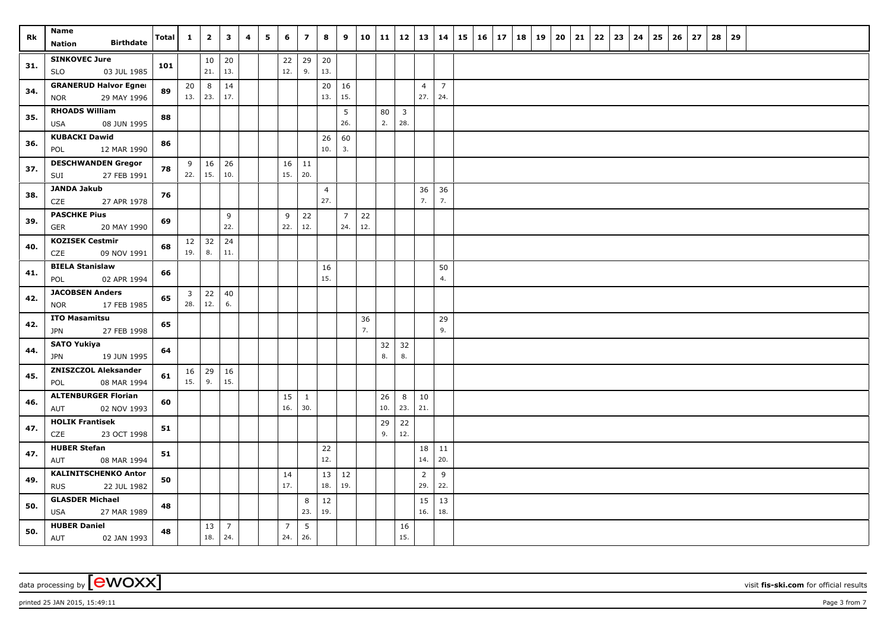| Rk  | Name                                                | Total | $\mathbf{1}$          | $\overline{\mathbf{2}}$ | $\mathbf{3}$          | 4 | 5 | 6                     | $\overline{\mathbf{z}}$ | 8                     | 9              | 10  | 11        | 12             | 13             | 14             | $15 \mid 16 \mid$ | 17 | 18 | 19 | 20 | 21 | 22 | 23 | 24 | 25 | 26 | 27 | 28 | 29 |  |  |  |
|-----|-----------------------------------------------------|-------|-----------------------|-------------------------|-----------------------|---|---|-----------------------|-------------------------|-----------------------|----------------|-----|-----------|----------------|----------------|----------------|-------------------|----|----|----|----|----|----|----|----|----|----|----|----|----|--|--|--|
|     | <b>Birthdate</b><br>Nation                          |       |                       |                         |                       |   |   |                       |                         |                       |                |     |           |                |                |                |                   |    |    |    |    |    |    |    |    |    |    |    |    |    |  |  |  |
| 31. | <b>SINKOVEC Jure</b><br>03 JUL 1985<br><b>SLO</b>   | 101   |                       | 10<br>21.               | 20<br>13.             |   |   | 22<br>12.             | 29<br>9.                | 20<br>13.             |                |     |           |                |                |                |                   |    |    |    |    |    |    |    |    |    |    |    |    |    |  |  |  |
|     | <b>GRANERUD Halvor Egner</b>                        |       | 20                    | 8                       | 14                    |   |   |                       |                         | 20                    | 16             |     |           |                | $\overline{4}$ | $\overline{7}$ |                   |    |    |    |    |    |    |    |    |    |    |    |    |    |  |  |  |
| 34. | 29 MAY 1996<br><b>NOR</b>                           | 89    | 13.   23.             |                         | 17.                   |   |   |                       |                         | 13.                   | 15.            |     |           |                | 27.            | 24.            |                   |    |    |    |    |    |    |    |    |    |    |    |    |    |  |  |  |
| 35. | <b>RHOADS William</b>                               | 88    |                       |                         |                       |   |   |                       |                         |                       | 5              |     | 80        | $\overline{3}$ |                |                |                   |    |    |    |    |    |    |    |    |    |    |    |    |    |  |  |  |
|     | USA<br>08 JUN 1995                                  |       |                       |                         |                       |   |   |                       |                         |                       | 26.            |     | 2.        | 28.            |                |                |                   |    |    |    |    |    |    |    |    |    |    |    |    |    |  |  |  |
| 36. | <b>KUBACKI Dawid</b>                                | 86    |                       |                         |                       |   |   |                       |                         | 26                    | 60             |     |           |                |                |                |                   |    |    |    |    |    |    |    |    |    |    |    |    |    |  |  |  |
|     | 12 MAR 1990<br>POL                                  |       |                       |                         |                       |   |   |                       |                         | 10.                   | 3.             |     |           |                |                |                |                   |    |    |    |    |    |    |    |    |    |    |    |    |    |  |  |  |
| 37. | <b>DESCHWANDEN Gregor</b><br>27 FEB 1991<br>SUI     | 78    | 9<br>22.   15.        | 16                      | 26<br>10.             |   |   | 16<br>15.             | 11<br> 20.              |                       |                |     |           |                |                |                |                   |    |    |    |    |    |    |    |    |    |    |    |    |    |  |  |  |
|     | <b>JANDA Jakub</b>                                  |       |                       |                         |                       |   |   |                       |                         |                       |                |     |           |                |                |                |                   |    |    |    |    |    |    |    |    |    |    |    |    |    |  |  |  |
| 38. | CZE<br>27 APR 1978                                  | 76    |                       |                         |                       |   |   |                       |                         | $\overline{4}$<br>27. |                |     |           |                | 36<br>7.       | 36<br>7.       |                   |    |    |    |    |    |    |    |    |    |    |    |    |    |  |  |  |
| 39. | <b>PASCHKE Pius</b>                                 | 69    |                       |                         | 9                     |   |   | 9                     | 22                      |                       | $\overline{7}$ | 22  |           |                |                |                |                   |    |    |    |    |    |    |    |    |    |    |    |    |    |  |  |  |
|     | <b>GER</b><br>20 MAY 1990                           |       |                       |                         | 22.                   |   |   | 22.                   | 12.                     |                       | 24.            | 12. |           |                |                |                |                   |    |    |    |    |    |    |    |    |    |    |    |    |    |  |  |  |
| 40. | <b>KOZISEK Cestmir</b>                              | 68    |                       | $12 \mid 32$            | 24                    |   |   |                       |                         |                       |                |     |           |                |                |                |                   |    |    |    |    |    |    |    |    |    |    |    |    |    |  |  |  |
|     | CZE<br>09 NOV 1991                                  |       | 19.                   | 8.                      | 11.                   |   |   |                       |                         |                       |                |     |           |                |                |                |                   |    |    |    |    |    |    |    |    |    |    |    |    |    |  |  |  |
| 41. | <b>BIELA Stanislaw</b>                              | 66    |                       |                         |                       |   |   |                       |                         | 16                    |                |     |           |                |                | 50             |                   |    |    |    |    |    |    |    |    |    |    |    |    |    |  |  |  |
|     | POL<br>02 APR 1994                                  |       |                       |                         |                       |   |   |                       |                         | 15.                   |                |     |           |                |                | 4.             |                   |    |    |    |    |    |    |    |    |    |    |    |    |    |  |  |  |
| 42. | <b>JACOBSEN Anders</b><br>17 FEB 1985<br><b>NOR</b> | 65    | $\overline{3}$<br>28. | 22<br>12.               | 40<br>6.              |   |   |                       |                         |                       |                |     |           |                |                |                |                   |    |    |    |    |    |    |    |    |    |    |    |    |    |  |  |  |
|     | <b>ITO Masamitsu</b>                                |       |                       |                         |                       |   |   |                       |                         |                       |                | 36  |           |                |                | 29             |                   |    |    |    |    |    |    |    |    |    |    |    |    |    |  |  |  |
| 42. | <b>JPN</b><br>27 FEB 1998                           | 65    |                       |                         |                       |   |   |                       |                         |                       |                | 7.  |           |                |                | 9.             |                   |    |    |    |    |    |    |    |    |    |    |    |    |    |  |  |  |
| 44. | <b>SATO Yukiya</b>                                  | 64    |                       |                         |                       |   |   |                       |                         |                       |                |     | 32        | 32             |                |                |                   |    |    |    |    |    |    |    |    |    |    |    |    |    |  |  |  |
|     | 19 JUN 1995<br><b>JPN</b>                           |       |                       |                         |                       |   |   |                       |                         |                       |                |     | 8.        | 8.             |                |                |                   |    |    |    |    |    |    |    |    |    |    |    |    |    |  |  |  |
| 45. | <b>ZNISZCZOL Aleksander</b>                         | 61    |                       | $16 \mid 29$            | 16                    |   |   |                       |                         |                       |                |     |           |                |                |                |                   |    |    |    |    |    |    |    |    |    |    |    |    |    |  |  |  |
|     | 08 MAR 1994<br>POL                                  |       | 15.                   | 9.                      | 15.                   |   |   |                       |                         |                       |                |     |           |                |                |                |                   |    |    |    |    |    |    |    |    |    |    |    |    |    |  |  |  |
| 46. | <b>ALTENBURGER Florian</b><br>AUT<br>02 NOV 1993    | 60    |                       |                         |                       |   |   | 15<br>16.             | $\mathbf{1}$<br>30.     |                       |                |     | 26<br>10. | 8<br>23.       | 10<br>21.      |                |                   |    |    |    |    |    |    |    |    |    |    |    |    |    |  |  |  |
|     | <b>HOLIK Frantisek</b>                              |       |                       |                         |                       |   |   |                       |                         |                       |                |     | 29        | 22             |                |                |                   |    |    |    |    |    |    |    |    |    |    |    |    |    |  |  |  |
| 47. | CZE<br>23 OCT 1998                                  | 51    |                       |                         |                       |   |   |                       |                         |                       |                |     | 9.        | 12.            |                |                |                   |    |    |    |    |    |    |    |    |    |    |    |    |    |  |  |  |
| 47. | <b>HUBER Stefan</b>                                 | 51    |                       |                         |                       |   |   |                       |                         | 22                    |                |     |           |                | 18             | 11             |                   |    |    |    |    |    |    |    |    |    |    |    |    |    |  |  |  |
|     | 08 MAR 1994<br>AUT                                  |       |                       |                         |                       |   |   |                       |                         | 12.                   |                |     |           |                | 14.            | 20.            |                   |    |    |    |    |    |    |    |    |    |    |    |    |    |  |  |  |
| 49. | <b>KALINITSCHENKO Anton</b>                         | 50    |                       |                         |                       |   |   | 14                    |                         | $13 \mid 12$          |                |     |           |                | $\overline{2}$ | $9\,$          |                   |    |    |    |    |    |    |    |    |    |    |    |    |    |  |  |  |
|     | <b>RUS</b><br>22 JUL 1982                           |       |                       |                         |                       |   |   | 17.                   |                         | 18.                   | 19.            |     |           |                | 29.            | 22.            |                   |    |    |    |    |    |    |    |    |    |    |    |    |    |  |  |  |
| 50. | <b>GLASDER Michael</b>                              | 48    |                       |                         |                       |   |   |                       | 8<br>23.                | 12                    |                |     |           |                | 15<br>16.      | 13             |                   |    |    |    |    |    |    |    |    |    |    |    |    |    |  |  |  |
|     | USA<br>27 MAR 1989<br><b>HUBER Daniel</b>           |       |                       |                         |                       |   |   |                       |                         | 19.                   |                |     |           |                |                | 18.            |                   |    |    |    |    |    |    |    |    |    |    |    |    |    |  |  |  |
| 50. | AUT<br>02 JAN 1993                                  | 48    |                       | 13<br>18.               | $\overline{7}$<br>24. |   |   | $\overline{7}$<br>24. | $5\phantom{.0}$<br>26.  |                       |                |     |           | 16<br>15.      |                |                |                   |    |    |    |    |    |    |    |    |    |    |    |    |    |  |  |  |

 $p$ rinted 25 JAN 2015, 15:49:11  $p$ age 3 from 7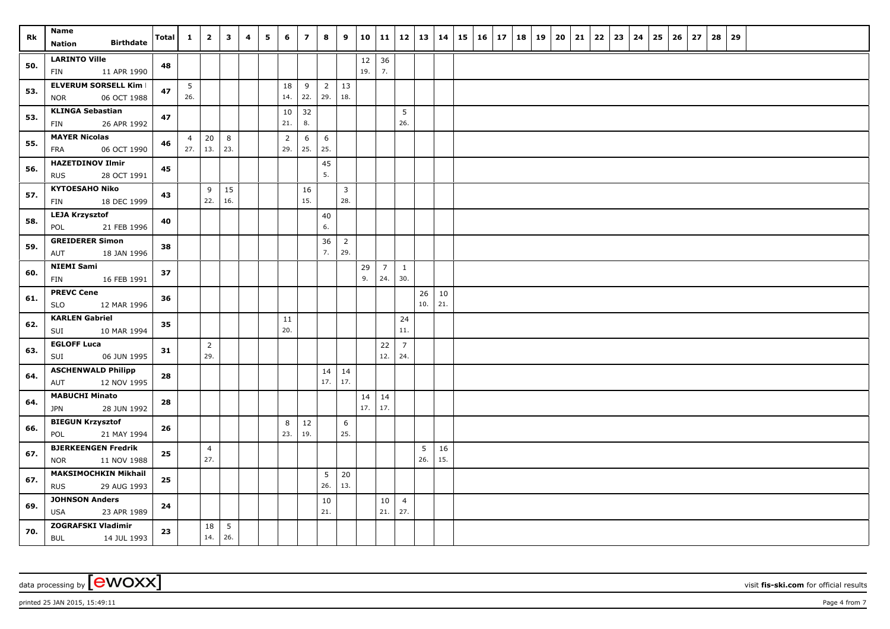| Rk  | Name<br><b>Birthdate</b><br><b>Nation</b>               | <b>Total</b> | $\mathbf{1}$   | $\overline{2}$        | $\overline{\mathbf{3}}$ | 4 | 5 | 6              | $\overline{z}$ | 8              | 9                     | 10            | 11              |                       | $12 \mid 13 \mid 14$ |           | $15 \mid 16 \mid 17$ | 18 | 19 | $20 \mid 21$ | $22 \mid 23$ | 24 | 25 | 26 | 27 | 28 | 29 |  |  |  |
|-----|---------------------------------------------------------|--------------|----------------|-----------------------|-------------------------|---|---|----------------|----------------|----------------|-----------------------|---------------|-----------------|-----------------------|----------------------|-----------|----------------------|----|----|--------------|--------------|----|----|----|----|----|----|--|--|--|
|     |                                                         |              |                |                       |                         |   |   |                |                |                |                       |               |                 |                       |                      |           |                      |    |    |              |              |    |    |    |    |    |    |  |  |  |
| 50. | <b>LARINTO Ville</b><br>11 APR 1990<br>FIN              | 48           |                |                       |                         |   |   |                |                |                |                       | $12\,$<br>19. | 36<br>7.        |                       |                      |           |                      |    |    |              |              |    |    |    |    |    |    |  |  |  |
|     | <b>ELVERUM SORSELL Kim I</b>                            |              | 5              |                       |                         |   |   | 18             | 9              | $\overline{2}$ | 13                    |               |                 |                       |                      |           |                      |    |    |              |              |    |    |    |    |    |    |  |  |  |
| 53. | 06 OCT 1988<br><b>NOR</b>                               | 47           | 26.            |                       |                         |   |   | 14.            | 22.            | 29.            | 18.                   |               |                 |                       |                      |           |                      |    |    |              |              |    |    |    |    |    |    |  |  |  |
| 53. | <b>KLINGA Sebastian</b>                                 | 47           |                |                       |                         |   |   | 10             | 32             |                |                       |               |                 | 5                     |                      |           |                      |    |    |              |              |    |    |    |    |    |    |  |  |  |
|     | 26 APR 1992<br>FIN                                      |              |                |                       |                         |   |   | 21.            | 8.             |                |                       |               |                 | 26.                   |                      |           |                      |    |    |              |              |    |    |    |    |    |    |  |  |  |
| 55. | <b>MAYER Nicolas</b>                                    | 46           | $\overline{4}$ | 20                    | 8                       |   |   | $\overline{2}$ | 6              | 6              |                       |               |                 |                       |                      |           |                      |    |    |              |              |    |    |    |    |    |    |  |  |  |
|     | 06 OCT 1990<br>FRA                                      |              |                | $27.$ 13.             | 23.                     |   |   | 29.            | 25.            | 25.            |                       |               |                 |                       |                      |           |                      |    |    |              |              |    |    |    |    |    |    |  |  |  |
| 56. | <b>HAZETDINOV Ilmir</b><br><b>RUS</b><br>28 OCT 1991    | 45           |                |                       |                         |   |   |                |                | 45<br>5.       |                       |               |                 |                       |                      |           |                      |    |    |              |              |    |    |    |    |    |    |  |  |  |
| 57. | <b>KYTOESAHO Niko</b><br>18 DEC 1999<br>FIN             | 43           |                | 9<br>22.              | 15<br>16.               |   |   |                | 16<br>15.      |                | $\overline{3}$<br>28. |               |                 |                       |                      |           |                      |    |    |              |              |    |    |    |    |    |    |  |  |  |
|     | <b>LEJA Krzysztof</b>                                   |              |                |                       |                         |   |   |                |                | 40             |                       |               |                 |                       |                      |           |                      |    |    |              |              |    |    |    |    |    |    |  |  |  |
| 58. | 21 FEB 1996<br>POL                                      | 40           |                |                       |                         |   |   |                |                | 6.             |                       |               |                 |                       |                      |           |                      |    |    |              |              |    |    |    |    |    |    |  |  |  |
|     | <b>GREIDERER Simon</b>                                  |              |                |                       |                         |   |   |                |                | 36             | $\overline{2}$        |               |                 |                       |                      |           |                      |    |    |              |              |    |    |    |    |    |    |  |  |  |
| 59. | AUT<br>18 JAN 1996                                      | 38           |                |                       |                         |   |   |                |                | 7.             | 29.                   |               |                 |                       |                      |           |                      |    |    |              |              |    |    |    |    |    |    |  |  |  |
| 60. | <b>NIEMI Sami</b>                                       | 37           |                |                       |                         |   |   |                |                |                |                       | 29            | $7\overline{ }$ | $\mathbf{1}$          |                      |           |                      |    |    |              |              |    |    |    |    |    |    |  |  |  |
|     | FIN<br>16 FEB 1991                                      |              |                |                       |                         |   |   |                |                |                |                       | 9.            | 24.             | 30.                   |                      |           |                      |    |    |              |              |    |    |    |    |    |    |  |  |  |
| 61. | <b>PREVC Cene</b><br><b>SLO</b><br>12 MAR 1996          | 36           |                |                       |                         |   |   |                |                |                |                       |               |                 |                       | 26<br>10.            | 10<br>21. |                      |    |    |              |              |    |    |    |    |    |    |  |  |  |
| 62. | <b>KARLEN Gabriel</b><br>SUI<br>10 MAR 1994             | 35           |                |                       |                         |   |   | 11<br>20.      |                |                |                       |               |                 | 24<br>11.             |                      |           |                      |    |    |              |              |    |    |    |    |    |    |  |  |  |
|     | <b>EGLOFF Luca</b>                                      |              |                | $\overline{2}$        |                         |   |   |                |                |                |                       |               | 22              | $\overline{7}$        |                      |           |                      |    |    |              |              |    |    |    |    |    |    |  |  |  |
| 63. | 06 JUN 1995<br>SUI                                      | 31           |                | 29.                   |                         |   |   |                |                |                |                       |               | 12.             | 24.                   |                      |           |                      |    |    |              |              |    |    |    |    |    |    |  |  |  |
| 64. | <b>ASCHENWALD Philipp</b><br>12 NOV 1995<br>AUT         | 28           |                |                       |                         |   |   |                |                | 17.            | $14 \mid 14$<br>17.   |               |                 |                       |                      |           |                      |    |    |              |              |    |    |    |    |    |    |  |  |  |
|     | <b>MABUCHI Minato</b>                                   |              |                |                       |                         |   |   |                |                |                |                       | 14            | 14              |                       |                      |           |                      |    |    |              |              |    |    |    |    |    |    |  |  |  |
| 64. | <b>JPN</b><br>28 JUN 1992                               | 28           |                |                       |                         |   |   |                |                |                |                       | 17.           | 17.             |                       |                      |           |                      |    |    |              |              |    |    |    |    |    |    |  |  |  |
| 66. | <b>BIEGUN Krzysztof</b>                                 | 26           |                |                       |                         |   |   | 8              | 12             |                | 6                     |               |                 |                       |                      |           |                      |    |    |              |              |    |    |    |    |    |    |  |  |  |
|     | 21 MAY 1994<br>POL                                      |              |                |                       |                         |   |   | 23.            | 19.            |                | 25.                   |               |                 |                       |                      |           |                      |    |    |              |              |    |    |    |    |    |    |  |  |  |
| 67. | <b>BJERKEENGEN Fredrik</b><br><b>NOR</b><br>11 NOV 1988 | 25           |                | $\overline{4}$<br>27. |                         |   |   |                |                |                |                       |               |                 |                       | 5<br>26.             | 16<br>15. |                      |    |    |              |              |    |    |    |    |    |    |  |  |  |
| 67. | <b>MAKSIMOCHKIN Mikhail</b>                             | 25           |                |                       |                         |   |   |                |                | 5              | 20                    |               |                 |                       |                      |           |                      |    |    |              |              |    |    |    |    |    |    |  |  |  |
|     | <b>RUS</b><br>29 AUG 1993                               |              |                |                       |                         |   |   |                |                | 26.            | 13.                   |               |                 |                       |                      |           |                      |    |    |              |              |    |    |    |    |    |    |  |  |  |
| 69. | <b>JOHNSON Anders</b><br><b>USA</b><br>23 APR 1989      | 24           |                |                       |                         |   |   |                |                | 10<br>21.      |                       |               | 10<br>21.       | $\overline{4}$<br>27. |                      |           |                      |    |    |              |              |    |    |    |    |    |    |  |  |  |
| 70. | ZOGRAFSKI Vladimir<br><b>BUL</b><br>14 JUL 1993         | 23           |                | 18<br>14.             | $5\overline{5}$<br>26.  |   |   |                |                |                |                       |               |                 |                       |                      |           |                      |    |    |              |              |    |    |    |    |    |    |  |  |  |

 $p$ rinted 25 JAN 2015, 15:49:11  $p$ age 4 from 7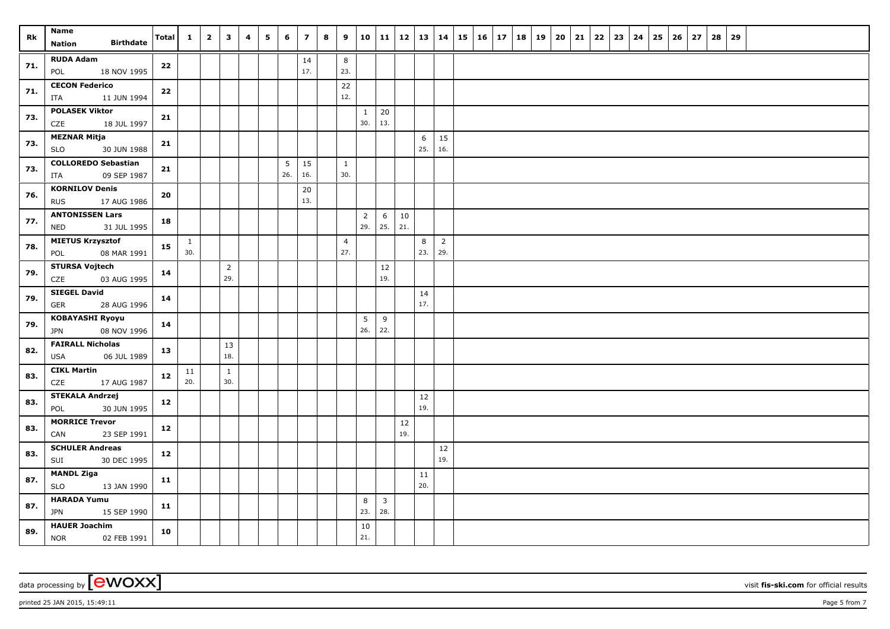| Rk  | Name<br><b>Birthdate</b><br><b>Nation</b>            | <b>Total</b> | $\mathbf{1}$        | $\overline{2}$ | $\overline{\mathbf{3}}$ | 4 | 5 | 6        | $\overline{z}$ | 8 | 9                     |                       | 10   11             | $12 \mid 13 \mid$ |                       | 14                    | $15 \mid 16 \mid 17$ | 18 | 19 | 20 | 21 | 22 | 23 | 24 | 25 | 26 | 27 | 28 | 29 |  |  |  |
|-----|------------------------------------------------------|--------------|---------------------|----------------|-------------------------|---|---|----------|----------------|---|-----------------------|-----------------------|---------------------|-------------------|-----------------------|-----------------------|----------------------|----|----|----|----|----|----|----|----|----|----|----|----|--|--|--|
| 71. | <b>RUDA Adam</b><br>18 NOV 1995<br>POL               | 22           |                     |                |                         |   |   |          | 14<br>17.      |   | 8<br>23.              |                       |                     |                   |                       |                       |                      |    |    |    |    |    |    |    |    |    |    |    |    |  |  |  |
| 71. | <b>CECON Federico</b><br>11 JUN 1994<br>ITA          | 22           |                     |                |                         |   |   |          |                |   | 22<br>12.             |                       |                     |                   |                       |                       |                      |    |    |    |    |    |    |    |    |    |    |    |    |  |  |  |
| 73. | <b>POLASEK Viktor</b><br>CZE<br>18 JUL 1997          | 21           |                     |                |                         |   |   |          |                |   |                       | $\mathbf{1}$<br>30.   | 20<br>13.           |                   |                       |                       |                      |    |    |    |    |    |    |    |    |    |    |    |    |  |  |  |
| 73. | <b>MEZNAR Mitja</b><br>30 JUN 1988<br><b>SLO</b>     | 21           |                     |                |                         |   |   |          |                |   |                       |                       |                     |                   | 6<br>25.              | 15<br>16.             |                      |    |    |    |    |    |    |    |    |    |    |    |    |  |  |  |
| 73. | <b>COLLOREDO Sebastian</b><br>09 SEP 1987<br>ITA     | 21           |                     |                |                         |   |   | 5<br>26. | 15<br>16.      |   | $\mathbf{1}$<br>30.   |                       |                     |                   |                       |                       |                      |    |    |    |    |    |    |    |    |    |    |    |    |  |  |  |
| 76. | <b>KORNILOV Denis</b><br><b>RUS</b><br>17 AUG 1986   | 20           |                     |                |                         |   |   |          | 20<br>13.      |   |                       |                       |                     |                   |                       |                       |                      |    |    |    |    |    |    |    |    |    |    |    |    |  |  |  |
| 77. | <b>ANTONISSEN Lars</b><br>31 JUL 1995<br><b>NED</b>  | 18           |                     |                |                         |   |   |          |                |   |                       | $\overline{2}$<br>29. | 6<br>25.            | 10<br>21.         |                       |                       |                      |    |    |    |    |    |    |    |    |    |    |    |    |  |  |  |
| 78. | <b>MIETUS Krzysztof</b><br>08 MAR 1991<br>POL        | 15           | $\mathbf{1}$<br>30. |                |                         |   |   |          |                |   | $\overline{4}$<br>27. |                       |                     |                   | $8\phantom{1}$<br>23. | $\overline{2}$<br>29. |                      |    |    |    |    |    |    |    |    |    |    |    |    |  |  |  |
| 79. | <b>STURSA Vojtech</b><br>CZE<br>03 AUG 1995          | 14           |                     |                | $\overline{2}$<br>29.   |   |   |          |                |   |                       |                       | 12<br>19.           |                   |                       |                       |                      |    |    |    |    |    |    |    |    |    |    |    |    |  |  |  |
| 79. | <b>SIEGEL David</b><br><b>GER</b><br>28 AUG 1996     | $14$         |                     |                |                         |   |   |          |                |   |                       |                       |                     |                   | 14<br>17.             |                       |                      |    |    |    |    |    |    |    |    |    |    |    |    |  |  |  |
| 79. | <b>KOBAYASHI Ryoyu</b><br>08 NOV 1996<br><b>JPN</b>  | 14           |                     |                |                         |   |   |          |                |   |                       | 5<br>26.              | 9<br>22.            |                   |                       |                       |                      |    |    |    |    |    |    |    |    |    |    |    |    |  |  |  |
| 82. | <b>FAIRALL Nicholas</b><br><b>USA</b><br>06 JUL 1989 | 13           |                     |                | 13<br>18.               |   |   |          |                |   |                       |                       |                     |                   |                       |                       |                      |    |    |    |    |    |    |    |    |    |    |    |    |  |  |  |
| 83. | <b>CIKL Martin</b><br>CZE<br>17 AUG 1987             | 12           | 11<br>20.           |                | $\mathbf{1}$<br>30.     |   |   |          |                |   |                       |                       |                     |                   |                       |                       |                      |    |    |    |    |    |    |    |    |    |    |    |    |  |  |  |
| 83. | <b>STEKALA Andrzej</b><br>30 JUN 1995<br>POL         | 12           |                     |                |                         |   |   |          |                |   |                       |                       |                     |                   | 12<br>19.             |                       |                      |    |    |    |    |    |    |    |    |    |    |    |    |  |  |  |
| 83. | <b>MORRICE Trevor</b><br>CAN<br>23 SEP 1991          | 12           |                     |                |                         |   |   |          |                |   |                       |                       |                     | 12<br>19.         |                       |                       |                      |    |    |    |    |    |    |    |    |    |    |    |    |  |  |  |
| 83. | <b>SCHULER Andreas</b><br>SUI<br>30 DEC 1995         | 12           |                     |                |                         |   |   |          |                |   |                       |                       |                     |                   |                       | 12<br>19.             |                      |    |    |    |    |    |    |    |    |    |    |    |    |  |  |  |
| 87. | <b>MANDL Ziga</b><br><b>SLO</b><br>13 JAN 1990       | 11           |                     |                |                         |   |   |          |                |   |                       |                       |                     |                   | 11<br>20.             |                       |                      |    |    |    |    |    |    |    |    |    |    |    |    |  |  |  |
| 87. | <b>HARADA Yumu</b><br>15 SEP 1990<br>JPN             | 11           |                     |                |                         |   |   |          |                |   |                       | 8<br>23.              | $\mathbf{3}$<br>28. |                   |                       |                       |                      |    |    |    |    |    |    |    |    |    |    |    |    |  |  |  |
| 89. | <b>HAUER Joachim</b><br><b>NOR</b><br>02 FEB 1991    | 10           |                     |                |                         |   |   |          |                |   |                       | 10<br>21.             |                     |                   |                       |                       |                      |    |    |    |    |    |    |    |    |    |    |    |    |  |  |  |

data processing by **CWOXX** wisit **fis-ski.com** for official results

 $p$ rinted 25 JAN 2015, 15:49:11 Page 5 from 7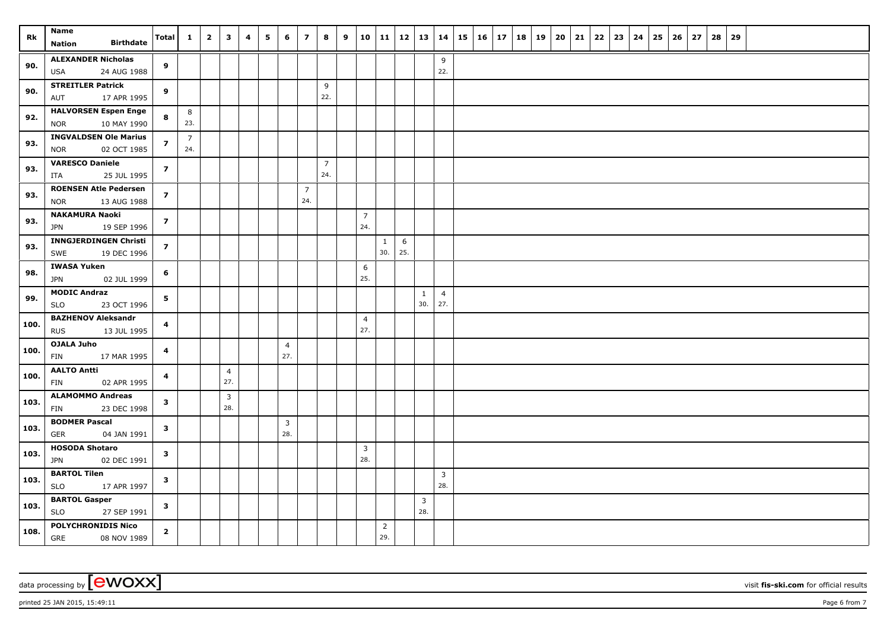| Rk   | <b>Name</b>                                        | Total          | $\mathbf{1}$   | $\overline{\mathbf{2}}$ | $\overline{\mathbf{3}}$ | 4 | 5 | 6                     | $\overline{z}$ | 8              | 9 |                       |                       | 10   11   12   13   14 |              |                       | 15 |  | $16$   17   18   19 | 20 | 21 | 22 | 23 | 24 | 25 | 26 | 27 | 28 | 29 |  |  |  |
|------|----------------------------------------------------|----------------|----------------|-------------------------|-------------------------|---|---|-----------------------|----------------|----------------|---|-----------------------|-----------------------|------------------------|--------------|-----------------------|----|--|---------------------|----|----|----|----|----|----|----|----|----|----|--|--|--|
|      | <b>Birthdate</b><br><b>Nation</b>                  |                |                |                         |                         |   |   |                       |                |                |   |                       |                       |                        |              |                       |    |  |                     |    |    |    |    |    |    |    |    |    |    |  |  |  |
| 90.  | <b>ALEXANDER Nicholas</b>                          | 9              |                |                         |                         |   |   |                       |                |                |   |                       |                       |                        |              | 9                     |    |  |                     |    |    |    |    |    |    |    |    |    |    |  |  |  |
|      | USA<br>24 AUG 1988                                 |                |                |                         |                         |   |   |                       |                |                |   |                       |                       |                        |              | 22.                   |    |  |                     |    |    |    |    |    |    |    |    |    |    |  |  |  |
| 90.  | <b>STREITLER Patrick</b><br>17 APR 1995<br>AUT     | 9              |                |                         |                         |   |   |                       |                | 9<br>22.       |   |                       |                       |                        |              |                       |    |  |                     |    |    |    |    |    |    |    |    |    |    |  |  |  |
|      | <b>HALVORSEN Espen Enge</b>                        |                | 8              |                         |                         |   |   |                       |                |                |   |                       |                       |                        |              |                       |    |  |                     |    |    |    |    |    |    |    |    |    |    |  |  |  |
| 92.  | 10 MAY 1990<br><b>NOR</b>                          | 8              | 23.            |                         |                         |   |   |                       |                |                |   |                       |                       |                        |              |                       |    |  |                     |    |    |    |    |    |    |    |    |    |    |  |  |  |
|      | <b>INGVALDSEN Ole Marius</b>                       |                | $\overline{7}$ |                         |                         |   |   |                       |                |                |   |                       |                       |                        |              |                       |    |  |                     |    |    |    |    |    |    |    |    |    |    |  |  |  |
| 93.  | <b>NOR</b><br>02 OCT 1985                          | $\overline{z}$ | 24.            |                         |                         |   |   |                       |                |                |   |                       |                       |                        |              |                       |    |  |                     |    |    |    |    |    |    |    |    |    |    |  |  |  |
| 93.  | <b>VARESCO Daniele</b>                             | $\overline{z}$ |                |                         |                         |   |   |                       |                | $\overline{7}$ |   |                       |                       |                        |              |                       |    |  |                     |    |    |    |    |    |    |    |    |    |    |  |  |  |
|      | ITA<br>25 JUL 1995                                 |                |                |                         |                         |   |   |                       |                | 24.            |   |                       |                       |                        |              |                       |    |  |                     |    |    |    |    |    |    |    |    |    |    |  |  |  |
| 93.  | <b>ROENSEN Atle Pedersen</b>                       | $\overline{z}$ |                |                         |                         |   |   |                       | $\overline{7}$ |                |   |                       |                       |                        |              |                       |    |  |                     |    |    |    |    |    |    |    |    |    |    |  |  |  |
|      | <b>NOR</b><br>13 AUG 1988                          |                |                |                         |                         |   |   |                       | 24.            |                |   |                       |                       |                        |              |                       |    |  |                     |    |    |    |    |    |    |    |    |    |    |  |  |  |
| 93.  | <b>NAKAMURA Naoki</b><br><b>JPN</b><br>19 SEP 1996 | $\overline{z}$ |                |                         |                         |   |   |                       |                |                |   | $\overline{7}$<br>24. |                       |                        |              |                       |    |  |                     |    |    |    |    |    |    |    |    |    |    |  |  |  |
|      | <b>INNGJERDINGEN Christi</b>                       |                |                |                         |                         |   |   |                       |                |                |   |                       |                       | 6                      |              |                       |    |  |                     |    |    |    |    |    |    |    |    |    |    |  |  |  |
| 93.  | SWE<br>19 DEC 1996                                 | $\overline{z}$ |                |                         |                         |   |   |                       |                |                |   |                       | $\mathbf{1}$<br>30.   | 25.                    |              |                       |    |  |                     |    |    |    |    |    |    |    |    |    |    |  |  |  |
|      | <b>IWASA Yuken</b>                                 |                |                |                         |                         |   |   |                       |                |                |   | 6                     |                       |                        |              |                       |    |  |                     |    |    |    |    |    |    |    |    |    |    |  |  |  |
| 98.  | <b>JPN</b><br>02 JUL 1999                          | 6              |                |                         |                         |   |   |                       |                |                |   | 25.                   |                       |                        |              |                       |    |  |                     |    |    |    |    |    |    |    |    |    |    |  |  |  |
| 99.  | <b>MODIC Andraz</b>                                | 5              |                |                         |                         |   |   |                       |                |                |   |                       |                       |                        | $\mathbf{1}$ | $\overline{4}$        |    |  |                     |    |    |    |    |    |    |    |    |    |    |  |  |  |
|      | <b>SLO</b><br>23 OCT 1996                          |                |                |                         |                         |   |   |                       |                |                |   |                       |                       |                        | 30.          | 27.                   |    |  |                     |    |    |    |    |    |    |    |    |    |    |  |  |  |
| 100. | <b>BAZHENOV Aleksandr</b>                          | 4              |                |                         |                         |   |   |                       |                |                |   | $\overline{4}$        |                       |                        |              |                       |    |  |                     |    |    |    |    |    |    |    |    |    |    |  |  |  |
|      | <b>RUS</b><br>13 JUL 1995                          |                |                |                         |                         |   |   |                       |                |                |   | 27.                   |                       |                        |              |                       |    |  |                     |    |    |    |    |    |    |    |    |    |    |  |  |  |
| 100. | <b>OJALA Juho</b><br><b>FIN</b><br>17 MAR 1995     | 4              |                |                         |                         |   |   | $\overline{4}$<br>27. |                |                |   |                       |                       |                        |              |                       |    |  |                     |    |    |    |    |    |    |    |    |    |    |  |  |  |
|      | <b>AALTO Antti</b>                                 |                |                |                         | $\overline{4}$          |   |   |                       |                |                |   |                       |                       |                        |              |                       |    |  |                     |    |    |    |    |    |    |    |    |    |    |  |  |  |
| 100. | 02 APR 1995<br>FIN                                 | 4              |                |                         | 27.                     |   |   |                       |                |                |   |                       |                       |                        |              |                       |    |  |                     |    |    |    |    |    |    |    |    |    |    |  |  |  |
|      | <b>ALAMOMMO Andreas</b>                            |                |                |                         | $\overline{3}$          |   |   |                       |                |                |   |                       |                       |                        |              |                       |    |  |                     |    |    |    |    |    |    |    |    |    |    |  |  |  |
| 103. | 23 DEC 1998<br>FIN                                 | $\mathbf{3}$   |                |                         | 28.                     |   |   |                       |                |                |   |                       |                       |                        |              |                       |    |  |                     |    |    |    |    |    |    |    |    |    |    |  |  |  |
| 103. | <b>BODMER Pascal</b>                               | $\mathbf{3}$   |                |                         |                         |   |   | $\overline{3}$        |                |                |   |                       |                       |                        |              |                       |    |  |                     |    |    |    |    |    |    |    |    |    |    |  |  |  |
|      | GER<br>04 JAN 1991                                 |                |                |                         |                         |   |   | 28.                   |                |                |   |                       |                       |                        |              |                       |    |  |                     |    |    |    |    |    |    |    |    |    |    |  |  |  |
| 103. | <b>HOSODA Shotaro</b>                              | $\mathbf{3}$   |                |                         |                         |   |   |                       |                |                |   | $\mathbf{3}$          |                       |                        |              |                       |    |  |                     |    |    |    |    |    |    |    |    |    |    |  |  |  |
|      | <b>JPN</b><br>02 DEC 1991                          |                |                |                         |                         |   |   |                       |                |                |   | 28.                   |                       |                        |              |                       |    |  |                     |    |    |    |    |    |    |    |    |    |    |  |  |  |
| 103. | <b>BARTOL Tilen</b><br><b>SLO</b><br>17 APR 1997   | $\mathbf{3}$   |                |                         |                         |   |   |                       |                |                |   |                       |                       |                        |              | $\overline{3}$<br>28. |    |  |                     |    |    |    |    |    |    |    |    |    |    |  |  |  |
|      | <b>BARTOL Gasper</b>                               |                |                |                         |                         |   |   |                       |                |                |   |                       |                       |                        | 3            |                       |    |  |                     |    |    |    |    |    |    |    |    |    |    |  |  |  |
| 103. | <b>SLO</b><br>27 SEP 1991                          | $\mathbf{3}$   |                |                         |                         |   |   |                       |                |                |   |                       |                       |                        | 28.          |                       |    |  |                     |    |    |    |    |    |    |    |    |    |    |  |  |  |
| 108. | <b>POLYCHRONIDIS Nico</b><br>GRE<br>08 NOV 1989    | $\overline{2}$ |                |                         |                         |   |   |                       |                |                |   |                       | $\overline{2}$<br>29. |                        |              |                       |    |  |                     |    |    |    |    |    |    |    |    |    |    |  |  |  |

 $p$ rinted 25 JAN 2015, 15:49:11 Page 6 from 7